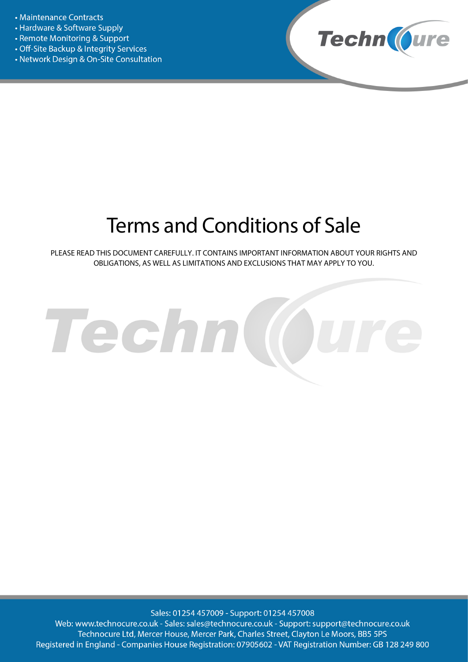- Maintenance Contracts
- Hardware & Software Supply
- Remote Monitoring & Support
- Off-Site Backup & Integrity Services
- Network Design & On-Site Consultation



# Terms and Conditions of Sale

PLEASE READ THIS DOCUMENT CAREFULLY. IT CONTAINS IMPORTANT INFORMATION ABOUT YOUR RIGHTS AND OBLIGATIONS, AS WELL AS LIMITATIONS AND EXCLUSIONS THAT MAY APPLY TO YOU.



Sales: 01254 457009 - Support: 01254 457008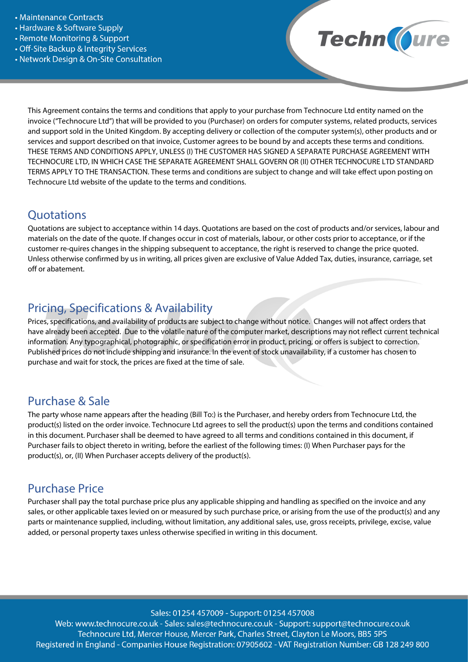- Maintenance Contracts
- Hardware & Software Supply
- Remote Monitoring & Support
- Off-Site Backup & Integrity Services
- Network Design & On-Site Consultation



This Agreement contains the terms and conditions that apply to your purchase from Technocure Ltd entity named on the invoice ("Technocure Ltd") that will be provided to you (Purchaser) on orders for computer systems, related products, services and support sold in the United Kingdom. By accepting delivery or collection of the computer system(s), other products and or services and support described on that invoice, Customer agrees to be bound by and accepts these terms and conditions. THESE TERMS AND CONDITIONS APPLY, UNLESS (I) THE CUSTOMER HAS SIGNED A SEPARATE PURCHASE AGREEMENT WITH TECHNOCURE LTD, IN WHICH CASE THE SEPARATE AGREEMENT SHALL GOVERN OR (II) OTHER TECHNOCURE LTD STANDARD TERMS APPLY TO THE TRANSACTION. These terms and conditions are subject to change and will take effect upon posting on Technocure Ltd website of the update to the terms and conditions.

#### **Ouotations**

Quotations are subject to acceptance within 14 days. Quotations are based on the cost of products and/or services, labour and materials on the date of the quote. If changes occur in cost of materials, labour, or other costs prior to acceptance, or if the customer re-quires changes in the shipping subsequent to acceptance, the right is reserved to change the price quoted. Unless otherwise confirmed by us in writing, all prices given are exclusive of Value Added Tax, duties, insurance, carriage, set off or abatement.

## Pricing, Specifications & Availability

Prices, specifications, and availability of products are subject to change without notice. Changes will not affect orders that have already been accepted. Due to the volatile nature of the computer market, descriptions may not reflect current technical information. Any typographical, photographic, or specification error in product, pricing, or offers is subject to correction. Published prices do not include shipping and insurance. In the event of stock unavailability, if a customer has chosen to purchase and wait for stock, the prices are fixed at the time of sale.

#### Purchase & Sale

The party whose name appears after the heading (Bill To:) is the Purchaser, and hereby orders from Technocure Ltd, the product(s) listed on the order invoice. Technocure Ltd agrees to sell the product(s) upon the terms and conditions contained in this document. Purchaser shall be deemed to have agreed to all terms and conditions contained in this document, if Purchaser fails to object thereto in writing, before the earliest of the following times: (I) When Purchaser pays for the product(s), or, (II) When Purchaser accepts delivery of the product(s).

## Purchase Price

Purchaser shall pay the total purchase price plus any applicable shipping and handling as specified on the invoice and any sales, or other applicable taxes levied on or measured by such purchase price, or arising from the use of the product(s) and any parts or maintenance supplied, including, without limitation, any additional sales, use, gross receipts, privilege, excise, value added, or personal property taxes unless otherwise specified in writing in this document.

Sales: 01254 457009 - Support: 01254 457008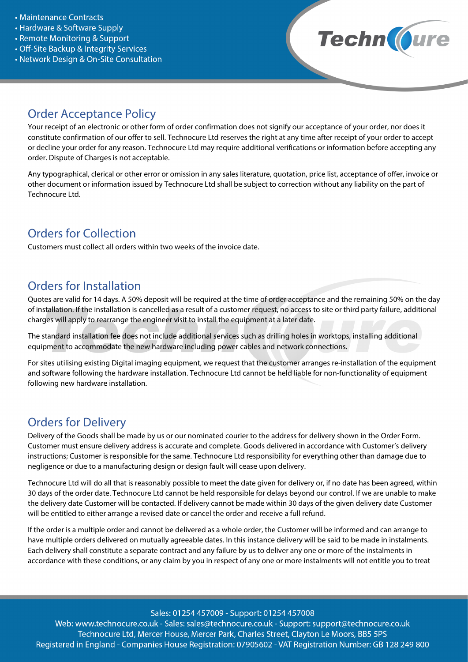- Maintenance Contracts
- Hardware & Software Supply
- Remote Monitoring & Support
- Off-Site Backup & Integrity Services
- Network Design & On-Site Consultation



## Order Acceptance Policy

Your receipt of an electronic or other form of order confirmation does not signify our acceptance of your order, nor does it constitute confirmation of our offer to sell. Technocure Ltd reserves the right at any time after receipt of your order to accept or decline your order for any reason. Technocure Ltd may require additional verifications or information before accepting any order. Dispute of Charges is not acceptable.

Any typographical, clerical or other error or omission in any sales literature, quotation, price list, acceptance of offer, invoice or other document or information issued by Technocure Ltd shall be subject to correction without any liability on the part of Technocure Ltd.

## Orders for Collection

Customers must collect all orders within two weeks of the invoice date.

## Orders for Installation

Quotes are valid for 14 days. A 50% deposit will be required at the time of order acceptance and the remaining 50% on the day of installation. If the installation is cancelled as a result of a customer request, no access to site or third party failure, additional charges will apply to rearrange the engineer visit to install the equipment at a later date.

The standard installation fee does not include additional services such as drilling holes in worktops, installing additional equipment to accommodate the new hardware including power cables and network connections.

For sites utilising existing Digital imaging equipment, we request that the customer arranges re-installation of the equipment and software following the hardware installation. Technocure Ltd cannot be held liable for non-functionality of equipment following new hardware installation.

## Orders for Delivery

Delivery of the Goods shall be made by us or our nominated courier to the address for delivery shown in the Order Form. Customer must ensure delivery address is accurate and complete. Goods delivered in accordance with Customer's delivery instructions; Customer is responsible for the same. Technocure Ltd responsibility for everything other than damage due to negligence or due to a manufacturing design or design fault will cease upon delivery.

Technocure Ltd will do all that is reasonably possible to meet the date given for delivery or, if no date has been agreed, within 30 days of the order date. Technocure Ltd cannot be held responsible for delays beyond our control. If we are unable to make the delivery date Customer will be contacted. If delivery cannot be made within 30 days of the given delivery date Customer will be entitled to either arrange a revised date or cancel the order and receive a full refund.

If the order is a multiple order and cannot be delivered as a whole order, the Customer will be informed and can arrange to have multiple orders delivered on mutually agreeable dates. In this instance delivery will be said to be made in instalments. Each delivery shall constitute a separate contract and any failure by us to deliver any one or more of the instalments in accordance with these conditions, or any claim by you in respect of any one or more instalments will not entitle you to treat

Sales: 01254 457009 - Support: 01254 457008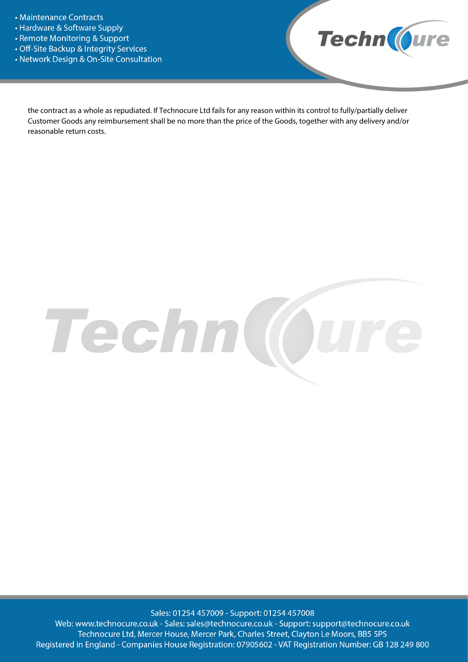- Maintenance Contracts
- Hardware & Software Supply
- Remote Monitoring & Support
- Off-Site Backup & Integrity Services
- Network Design & On-Site Consultation



the contract as a whole as repudiated. If Technocure Ltd fails for any reason within its control to fully/partially deliver Customer Goods any reimbursement shall be no more than the price of the Goods, together with any delivery and/or reasonable return costs.



Sales: 01254 457009 - Support: 01254 457008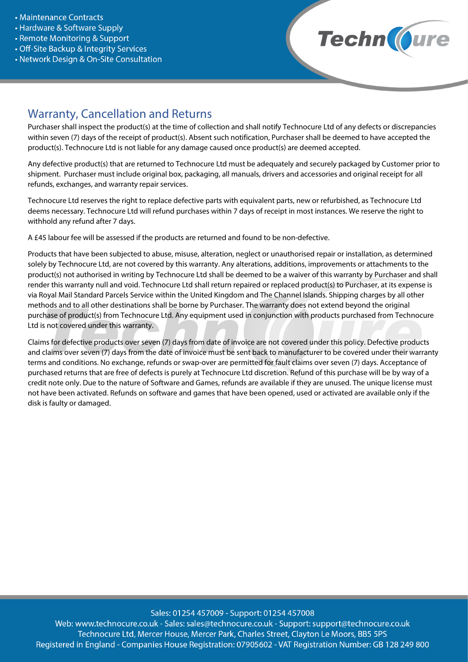- Maintenance Contracts
- Hardware & Software Supply
- Remote Monitoring & Support
- Off-Site Backup & Integrity Services
- Network Design & On-Site Consultation



## Warranty, Cancellation and Returns

Purchaser shall inspect the product(s) at the time of collection and shall notify Technocure Ltd of any defects or discrepancies within seven (7) days of the receipt of product(s). Absent such notification, Purchaser shall be deemed to have accepted the product(s). Technocure Ltd is not liable for any damage caused once product(s) are deemed accepted.

Any defective product(s) that are returned to Technocure Ltd must be adequately and securely packaged by Customer prior to shipment. Purchaser must include original box, packaging, all manuals, drivers and accessories and original receipt for all refunds, exchanges, and warranty repair services.

Technocure Ltd reserves the right to replace defective parts with equivalent parts, new or refurbished, as Technocure Ltd deems necessary. Technocure Ltd will refund purchases within 7 days of receipt in most instances. We reserve the right to withhold any refund after 7 days.

A £45 labour fee will be assessed if the products are returned and found to be non-defective.

Products that have been subjected to abuse, misuse, alteration, neglect or unauthorised repair or installation, as determined solely by Technocure Ltd, are not covered by this warranty. Any alterations, additions, improvements or attachments to the product(s) not authorised in writing by Technocure Ltd shall be deemed to be a waiver of this warranty by Purchaser and shall render this warranty null and void. Technocure Ltd shall return repaired or replaced product(s) to Purchaser, at its expense is via Royal Mail Standard Parcels Service within the United Kingdom and The Channel Islands. Shipping charges by all other methods and to all other destinations shall be borne by Purchaser. The warranty does not extend beyond the original purchase of product(s) from Technocure Ltd. Any equipment used in conjunction with products purchased from Technocure Ltd is not covered under this warranty.

Claims for defective products over seven (7) days from date of invoice are not covered under this policy. Defective products and claims over seven (7) days from the date of invoice must be sent back to manufacturer to be covered under their warranty terms and conditions. No exchange, refunds or swap-over are permitted for fault claims over seven (7) days. Acceptance of purchased returns that are free of defects is purely at Technocure Ltd discretion. Refund of this purchase will be by way of a credit note only. Due to the nature of Software and Games, refunds are available if they are unused. The unique license must not have been activated. Refunds on software and games that have been opened, used or activated are available only if the disk is faulty or damaged.

Sales: 01254 457009 - Support: 01254 457008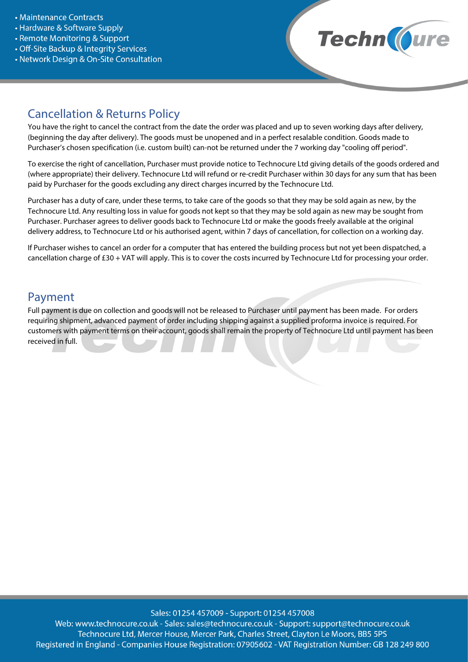- Maintenance Contracts
- Hardware & Software Supply
- Remote Monitoring & Support
- Off-Site Backup & Integrity Services
- Network Design & On-Site Consultation



#### Cancellation & Returns Policy

You have the right to cancel the contract from the date the order was placed and up to seven working days after delivery, (beginning the day after delivery). The goods must be unopened and in a perfect resalable condition. Goods made to Purchaser's chosen specification (i.e. custom built) can-not be returned under the 7 working day "cooling off period".

To exercise the right of cancellation, Purchaser must provide notice to Technocure Ltd giving details of the goods ordered and (where appropriate) their delivery. Technocure Ltd will refund or re-credit Purchaser within 30 days for any sum that has been paid by Purchaser for the goods excluding any direct charges incurred by the Technocure Ltd.

Purchaser has a duty of care, under these terms, to take care of the goods so that they may be sold again as new, by the Technocure Ltd. Any resulting loss in value for goods not kept so that they may be sold again as new may be sought from Purchaser. Purchaser agrees to deliver goods back to Technocure Ltd or make the goods freely available at the original delivery address, to Technocure Ltd or his authorised agent, within 7 days of cancellation, for collection on a working day.

If Purchaser wishes to cancel an order for a computer that has entered the building process but not yet been dispatched, a cancellation charge of £30 + VAT will apply. This is to cover the costs incurred by Technocure Ltd for processing your order.

#### Payment

Full payment is due on collection and goods will not be released to Purchaser until payment has been made. For orders requiring shipment, advanced payment of order including shipping against a supplied proforma invoice is required. For customers with payment terms on their account, goods shall remain the property of Technocure Ltd until payment has been received in full.

Sales: 01254 457009 - Support: 01254 457008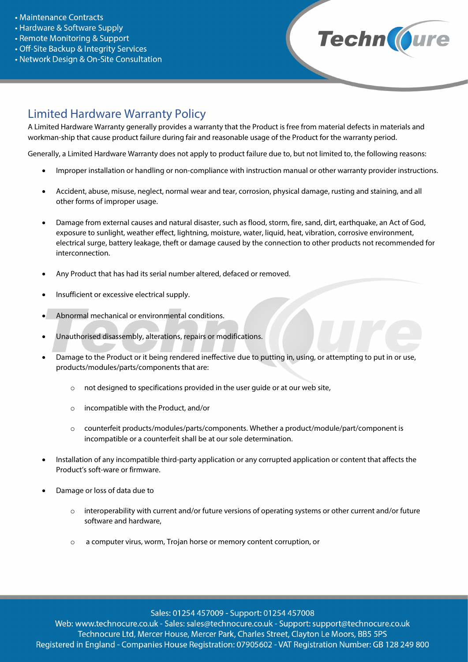- Maintenance Contracts
- Hardware & Software Supply
- Remote Monitoring & Support
- Off-Site Backup & Integrity Services
- Network Design & On-Site Consultation



## Limited Hardware Warranty Policy

A Limited Hardware Warranty generally provides a warranty that the Product is free from material defects in materials and workman-ship that cause product failure during fair and reasonable usage of the Product for the warranty period.

Generally, a Limited Hardware Warranty does not apply to product failure due to, but not limited to, the following reasons:

- Improper installation or handling or non-compliance with instruction manual or other warranty provider instructions.
- Accident, abuse, misuse, neglect, normal wear and tear, corrosion, physical damage, rusting and staining, and all other forms of improper usage.
- Damage from external causes and natural disaster, such as flood, storm, fire, sand, dirt, earthquake, an Act of God, exposure to sunlight, weather effect, lightning, moisture, water, liquid, heat, vibration, corrosive environment, electrical surge, battery leakage, theft or damage caused by the connection to other products not recommended for interconnection.
- Any Product that has had its serial number altered, defaced or removed.
- Insufficient or excessive electrical supply.
- Abnormal mechanical or environmental conditions.
- Unauthorised disassembly, alterations, repairs or modifications.
- Damage to the Product or it being rendered ineffective due to putting in, using, or attempting to put in or use, products/modules/parts/components that are:
	- o not designed to specifications provided in the user guide or at our web site,
	- o incompatible with the Product, and/or
	- o counterfeit products/modules/parts/components. Whether a product/module/part/component is incompatible or a counterfeit shall be at our sole determination.
- Installation of any incompatible third-party application or any corrupted application or content that affects the Product's soft-ware or firmware.
- Damage or loss of data due to
	- $\circ$  interoperability with current and/or future versions of operating systems or other current and/or future software and hardware,
	- o a computer virus, worm, Trojan horse or memory content corruption, or

Sales: 01254 457009 - Support: 01254 457008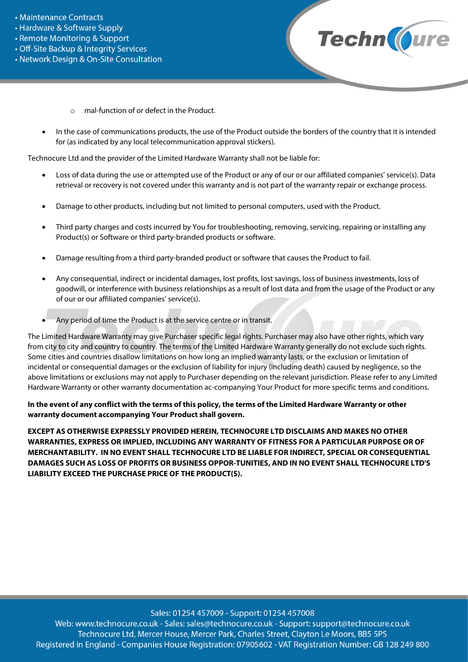- Maintenance Contracts
- Hardware & Software Supply
- Remote Monitoring & Support
- Off-Site Backup & Integrity Services
- Network Design & On-Site Consultation



- o mal-function of or defect in the Product.
- In the case of communications products, the use of the Product outside the borders of the country that it is intended for (as indicated by any local telecommunication approval stickers).

Technocure Ltd and the provider of the Limited Hardware Warranty shall not be liable for:

- Loss of data during the use or attempted use of the Product or any of our or our affiliated companies' service(s). Data retrieval or recovery is not covered under this warranty and is not part of the warranty repair or exchange process.
- Damage to other products, including but not limited to personal computers, used with the Product.
- Third party charges and costs incurred by You for troubleshooting, removing, servicing, repairing or installing any Product(s) or Software or third party-branded products or software.
- Damage resulting from a third party-branded product or software that causes the Product to fail.
- Any consequential, indirect or incidental damages, lost profits, lost savings, loss of business investments, loss of goodwill, or interference with business relationships as a result of lost data and from the usage of the Product or any of our or our affiliated companies' service(s).
- Any period of time the Product is at the service centre or in transit.

The Limited Hardware Warranty may give Purchaser specific legal rights. Purchaser may also have other rights, which vary from city to city and country to country. The terms of the Limited Hardware Warranty generally do not exclude such rights. Some cities and countries disallow limitations on how long an implied warranty lasts, or the exclusion or limitation of incidental or consequential damages or the exclusion of liability for injury (including death) caused by negligence, so the above limitations or exclusions may not apply to Purchaser depending on the relevant jurisdiction. Please refer to any Limited Hardware Warranty or other warranty documentation ac-companying Your Product for more specific terms and conditions.

**In the event of any conflict with the terms of this policy, the terms of the Limited Hardware Warranty or other warranty document accompanying Your Product shall govern.**

**EXCEPT AS OTHERWISE EXPRESSLY PROVIDED HEREIN, TECHNOCURE LTD DISCLAIMS AND MAKES NO OTHER WARRANTIES, EXPRESS OR IMPLIED, INCLUDING ANY WARRANTY OF FITNESS FOR A PARTICULAR PURPOSE OR OF MERCHANTABILITY. IN NO EVENT SHALL TECHNOCURE LTD BE LIABLE FOR INDIRECT, SPECIAL OR CONSEQUENTIAL DAMAGES SUCH AS LOSS OF PROFITS OR BUSINESS OPPOR-TUNITIES, AND IN NO EVENT SHALL TECHNOCURE LTD'S LIABILITY EXCEED THE PURCHASE PRICE OF THE PRODUCT(S).** 

Sales: 01254 457009 - Support: 01254 457008